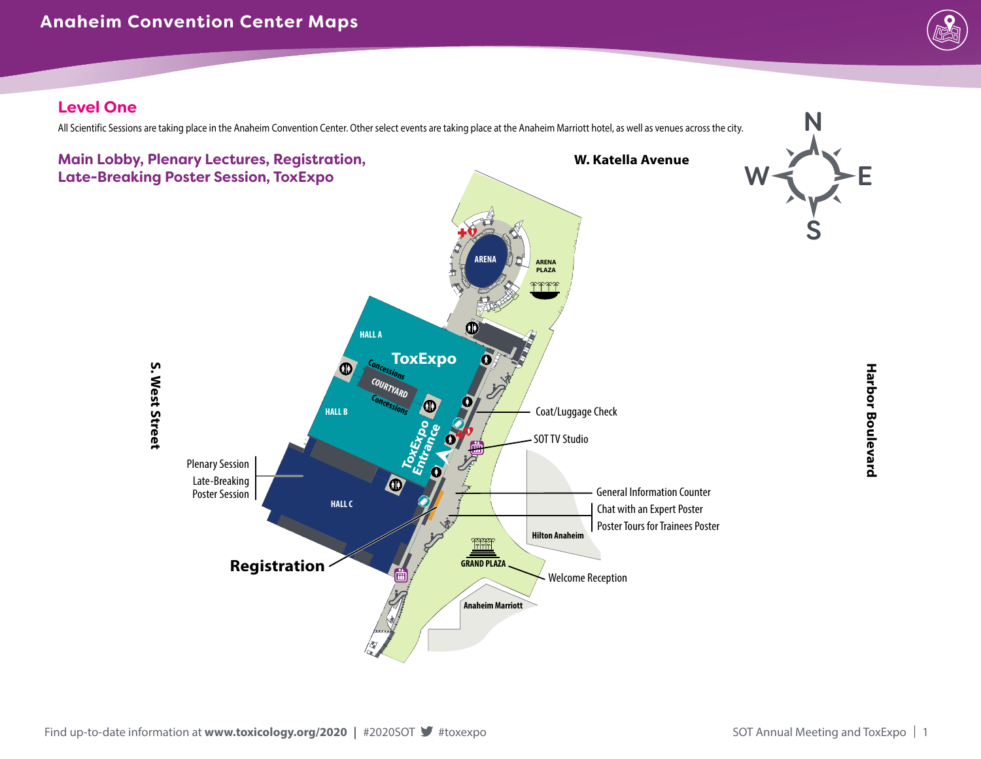

### **Level One**

All Scientific Sessions are taking place in the Anaheim Convention Center. Other select events are taking place at the Anaheim Marriott hotel, as well as venues across the city.

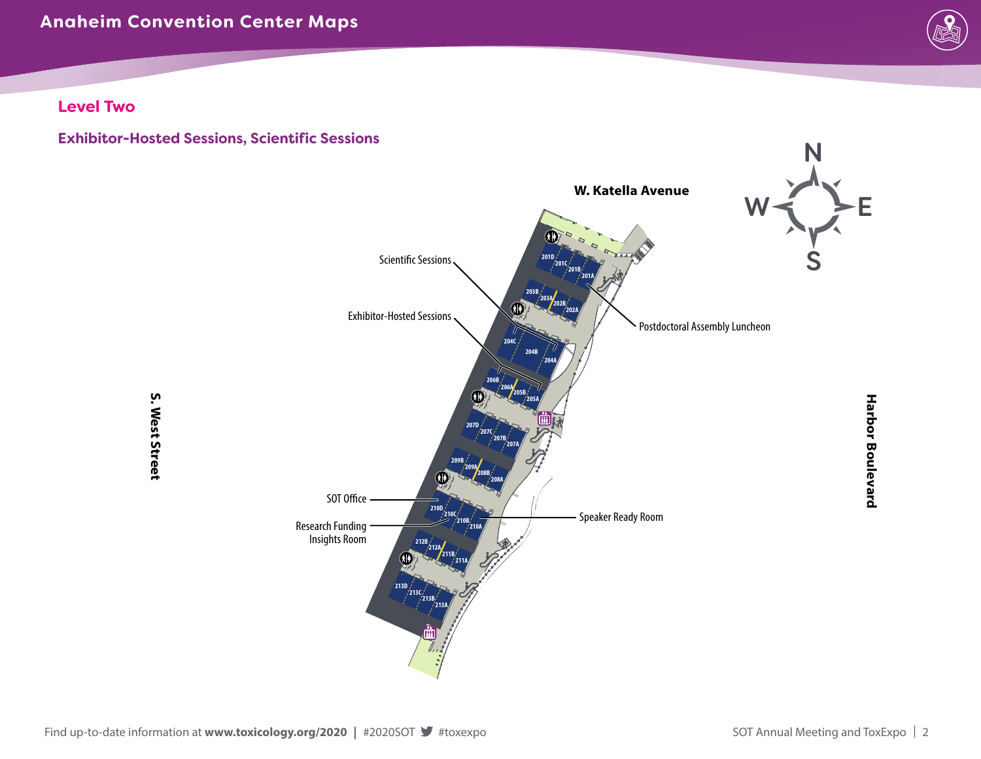# **Anaheim Convention Center Maps**



**Level Two**

**Exhibitor-Hosted Sessions, Scientific Sessions**

**S. West Street**

S. West Street